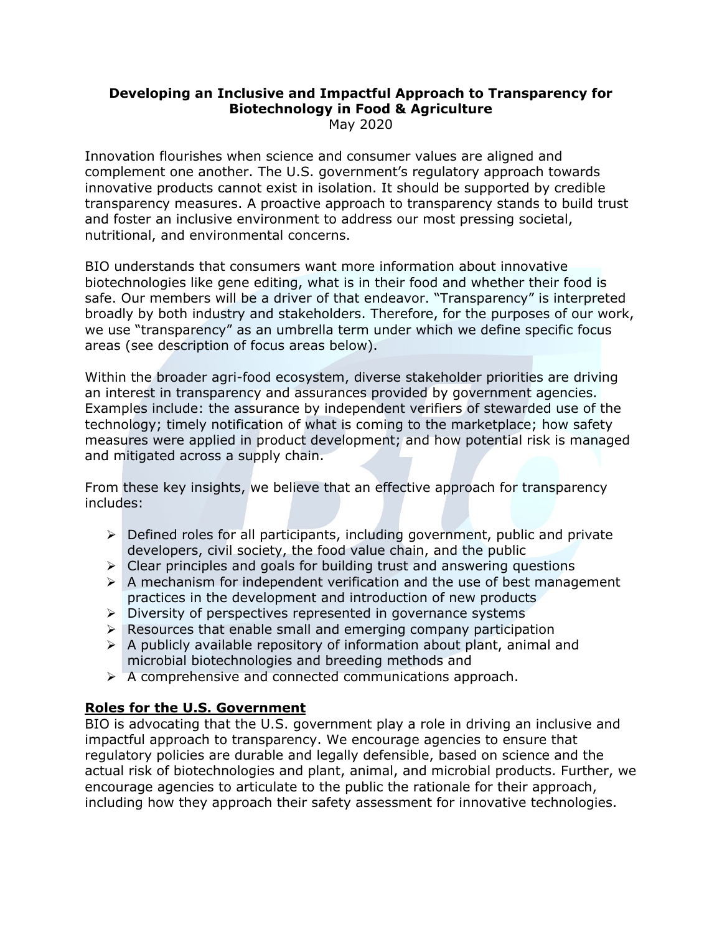# **Developing an Inclusive and Impactful Approach to Transparency for Biotechnology in Food & Agriculture**

May 2020

Innovation flourishes when science and consumer values are aligned and complement one another. The U.S. government's regulatory approach towards innovative products cannot exist in isolation. It should be supported by credible transparency measures. A proactive approach to transparency stands to build trust and foster an inclusive environment to address our most pressing societal, nutritional, and environmental concerns.

BIO understands that consumers want more information about innovative biotechnologies like gene editing, what is in their food and whether their food is safe. Our members will be a driver of that endeavor. "Transparency" is interpreted broadly by both industry and stakeholders. Therefore, for the purposes of our work, we use "transparency" as an umbrella term under which we define specific focus areas (see description of focus areas below).

Within the broader agri-food ecosystem, diverse stakeholder priorities are driving an interest in transparency and assurances provided by government agencies. Examples include: the assurance by independent verifiers of stewarded use of the technology; timely notification of what is coming to the marketplace; how safety measures were applied in product development; and how potential risk is managed and mitigated across a supply chain.

From these key insights, we believe that an effective approach for transparency includes:

- $\triangleright$  Defined roles for all participants, including government, public and private developers, civil society, the food value chain, and the public
- $\triangleright$  Clear principles and goals for building trust and answering questions
- $\triangleright$  A mechanism for independent verification and the use of best management practices in the development and introduction of new products
- $\triangleright$  Diversity of perspectives represented in governance systems
- $\triangleright$  Resources that enable small and emerging company participation
- $\triangleright$  A publicly available repository of information about plant, animal and microbial biotechnologies and breeding methods and
- $\triangleright$  A comprehensive and connected communications approach.

# **Roles for the U.S. Government**

BIO is advocating that the U.S. government play a role in driving an inclusive and impactful approach to transparency. We encourage agencies to ensure that regulatory policies are durable and legally defensible, based on science and the actual risk of biotechnologies and plant, animal, and microbial products. Further, we encourage agencies to articulate to the public the rationale for their approach, including how they approach their safety assessment for innovative technologies.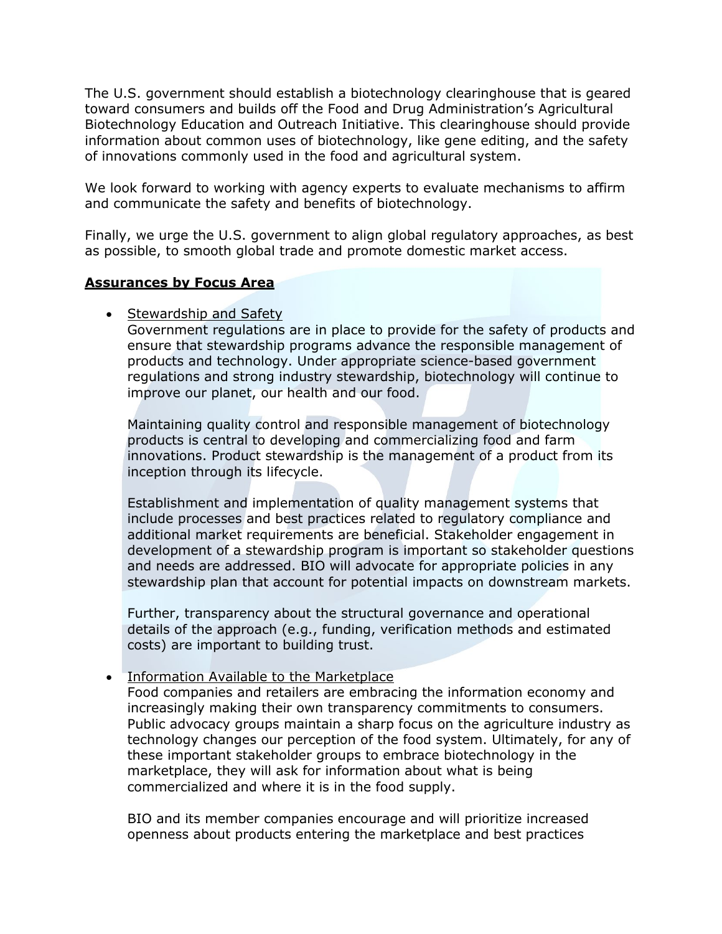The U.S. government should establish a biotechnology clearinghouse that is geared toward consumers and builds off the Food and Drug Administration's Agricultural Biotechnology Education and Outreach Initiative. This clearinghouse should provide information about common uses of biotechnology, like gene editing, and the safety of innovations commonly used in the food and agricultural system.

We look forward to working with agency experts to evaluate mechanisms to affirm and communicate the safety and benefits of biotechnology.

Finally, we urge the U.S. government to align global regulatory approaches, as best as possible, to smooth global trade and promote domestic market access.

#### **Assurances by Focus Area**

## • Stewardship and Safety

Government regulations are in place to provide for the safety of products and ensure that stewardship programs advance the responsible management of products and technology. Under appropriate science-based government regulations and strong industry stewardship, biotechnology will continue to improve our planet, our health and our food.

Maintaining quality control and responsible management of biotechnology products is central to developing and commercializing food and farm innovations. Product stewardship is the management of a product from its inception through its lifecycle.

Establishment and implementation of quality management systems that include processes and best practices related to regulatory compliance and additional market requirements are beneficial. Stakeholder engagement in development of a stewardship program is important so stakeholder questions and needs are addressed. BIO will advocate for appropriate policies in any stewardship plan that account for potential impacts on downstream markets.

Further, transparency about the structural governance and operational details of the approach (e.g., funding, verification methods and estimated costs) are important to building trust.

## • Information Available to the Marketplace

Food companies and retailers are embracing the information economy and increasingly making their own transparency commitments to consumers. Public advocacy groups maintain a sharp focus on the agriculture industry as technology changes our perception of the food system. Ultimately, for any of these important stakeholder groups to embrace biotechnology in the marketplace, they will ask for information about what is being commercialized and where it is in the food supply.

BIO and its member companies encourage and will prioritize increased openness about products entering the marketplace and best practices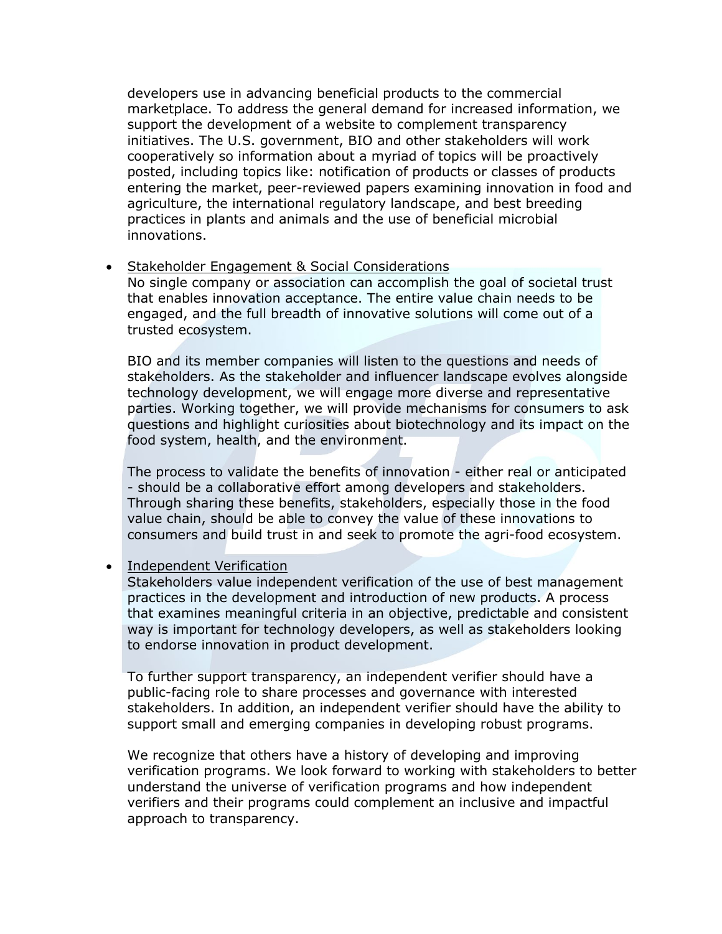developers use in advancing beneficial products to the commercial marketplace. To address the general demand for increased information, we support the development of a website to complement transparency initiatives. The U.S. government, BIO and other stakeholders will work cooperatively so information about a myriad of topics will be proactively posted, including topics like: notification of products or classes of products entering the market, peer-reviewed papers examining innovation in food and agriculture, the international regulatory landscape, and best breeding practices in plants and animals and the use of beneficial microbial innovations.

• Stakeholder Engagement & Social Considerations

No single company or association can accomplish the goal of societal trust that enables innovation acceptance. The entire value chain needs to be engaged, and the full breadth of innovative solutions will come out of a trusted ecosystem.

BIO and its member companies will listen to the questions and needs of stakeholders. As the stakeholder and influencer landscape evolves alongside technology development, we will engage more diverse and representative parties. Working together, we will provide mechanisms for consumers to ask questions and highlight curiosities about biotechnology and its impact on the food system, health, and the environment.

The process to validate the benefits of innovation - either real or anticipated - should be a collaborative effort among developers and stakeholders. Through sharing these benefits, stakeholders, especially those in the food value chain, should be able to convey the value of these innovations to consumers and build trust in and seek to promote the agri-food ecosystem.

• Independent Verification

Stakeholders value independent verification of the use of best management practices in the development and introduction of new products. A process that examines meaningful criteria in an objective, predictable and consistent way is important for technology developers, as well as stakeholders looking to endorse innovation in product development.

To further support transparency, an independent verifier should have a public-facing role to share processes and governance with interested stakeholders. In addition, an independent verifier should have the ability to support small and emerging companies in developing robust programs.

We recognize that others have a history of developing and improving verification programs. We look forward to working with stakeholders to better understand the universe of verification programs and how independent verifiers and their programs could complement an inclusive and impactful approach to transparency.